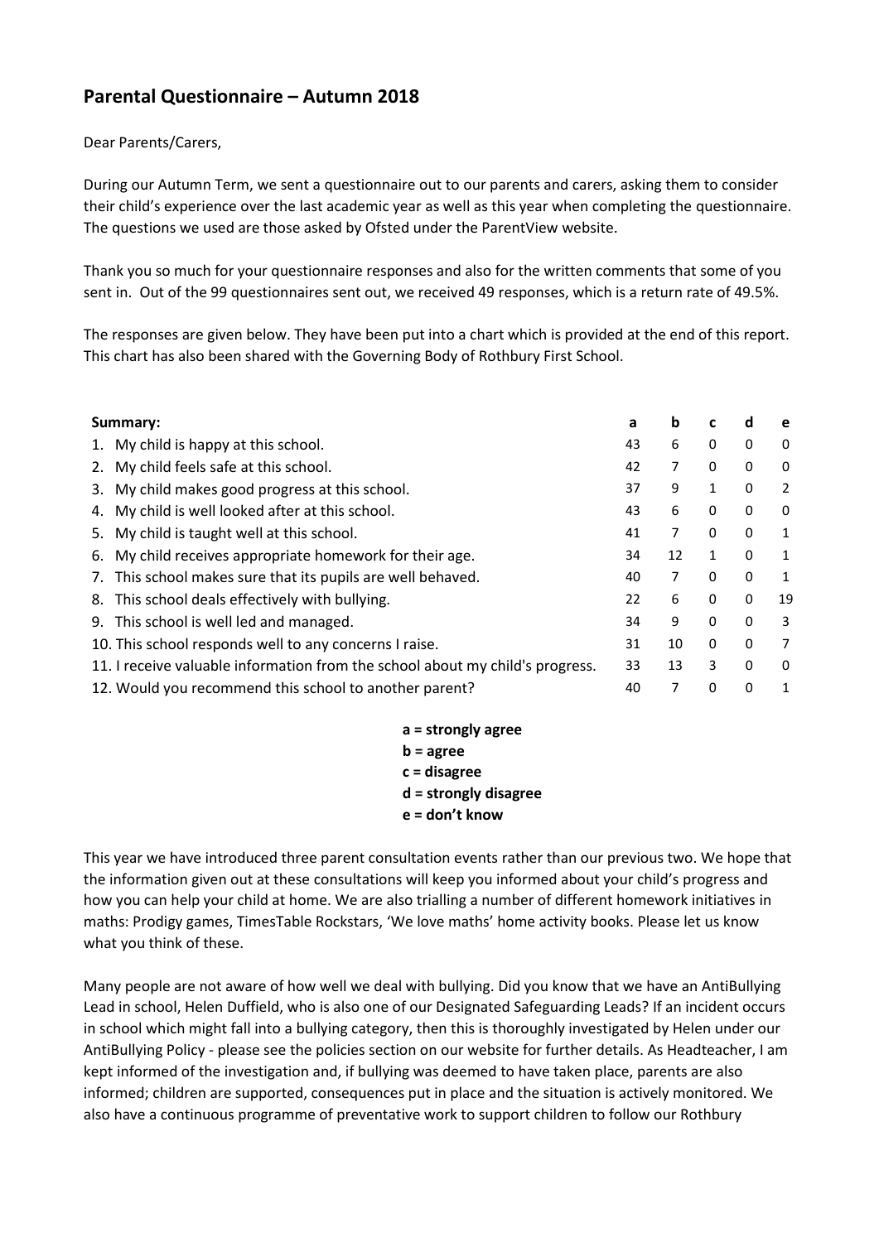## **Parental Questionnaire – Autumn 2018**

## Dear Parents/Carers,

During our Autumn Term, we sent a questionnaire out to our parents and carers, asking them to consider their child's experience over the last academic year as well as this year when completing the questionnaire. The questions we used are those asked by Ofsted under the ParentView website.

Thank you so much for your questionnaire responses and also for the written comments that some of you sent in. Out of the 99 questionnaires sent out, we received 49 responses, which is a return rate of 49.5%.

The responses are given below. They have been put into a chart which is provided at the end of this report. This chart has also been shared with the Governing Body of Rothbury First School.

| Summary:                                                                      |                                                          | a  | b  | c            | a            | e            |
|-------------------------------------------------------------------------------|----------------------------------------------------------|----|----|--------------|--------------|--------------|
| 1.                                                                            | My child is happy at this school.                        | 43 | 6  | 0            | 0            | 0            |
|                                                                               | 2. My child feels safe at this school.                   | 42 | 7  | 0            | 0            | 0            |
|                                                                               | 3. My child makes good progress at this school.          | 37 | 9  | 1            | 0            | 2            |
| 4.                                                                            | My child is well looked after at this school.            | 43 | 6  | 0            | 0            | 0            |
|                                                                               | 5. My child is taught well at this school.               | 41 | 7  | $\mathbf{0}$ | $\Omega$     | 1            |
|                                                                               | 6. My child receives appropriate homework for their age. | 34 | 12 | 1            | 0            | 1            |
| 7.                                                                            | This school makes sure that its pupils are well behaved. | 40 | 7  | 0            | 0            | 1            |
|                                                                               | 8. This school deals effectively with bullying.          | 22 | 6  | $\mathbf{0}$ | $\mathbf{0}$ | 19           |
|                                                                               | 9. This school is well led and managed.                  | 34 | 9  | $\mathbf{0}$ | 0            | 3            |
|                                                                               | 10. This school responds well to any concerns I raise.   | 31 | 10 | $\mathbf{0}$ | 0            | 7            |
| 11. I receive valuable information from the school about my child's progress. |                                                          | 33 | 13 | 3            | $\Omega$     | $\mathbf{0}$ |
|                                                                               | 12. Would you recommend this school to another parent?   | 40 | 7  | $\Omega$     | 0            | 1            |

**a = strongly agree b = agree c = disagree d = strongly disagree**

**e = don't know** 

This year we have introduced three parent consultation events rather than our previous two. We hope that the information given out at these consultations will keep you informed about your child's progress and how you can help your child at home. We are also trialling a number of different homework initiatives in maths: Prodigy games, TimesTable Rockstars, 'We love maths' home activity books. Please let us know what you think of these.

Many people are not aware of how well we deal with bullying. Did you know that we have an AntiBullying Lead in school, Helen Duffield, who is also one of our Designated Safeguarding Leads? If an incident occurs in school which might fall into a bullying category, then this is thoroughly investigated by Helen under our AntiBullying Policy - please see the policies section on our website for further details. As Headteacher, I am kept informed of the investigation and, if bullying was deemed to have taken place, parents are also informed; children are supported, consequences put in place and the situation is actively monitored. We also have a continuous programme of preventative work to support children to follow our Rothbury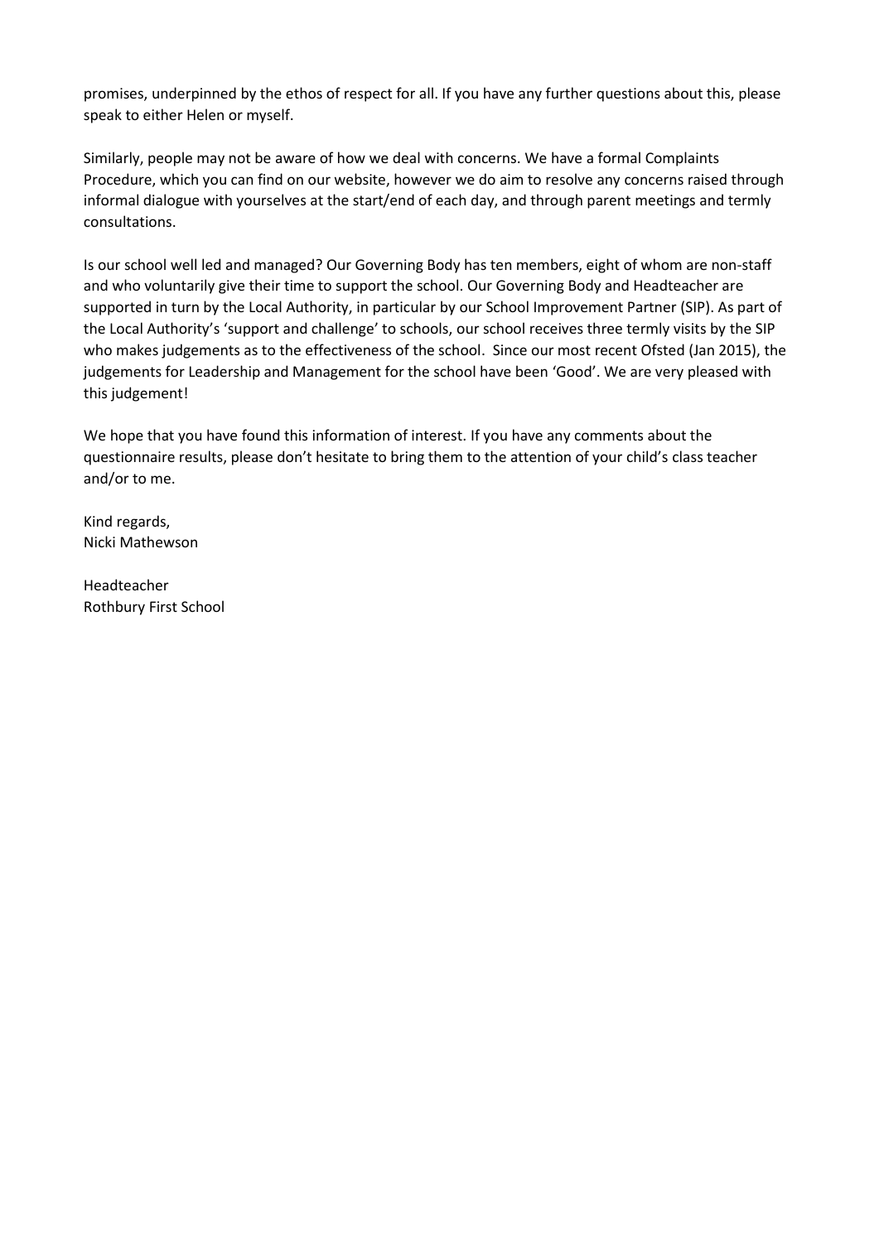promises, underpinned by the ethos of respect for all. If you have any further questions about this, please speak to either Helen or myself.

Similarly, people may not be aware of how we deal with concerns. We have a formal Complaints Procedure, which you can find on our website, however we do aim to resolve any concerns raised through informal dialogue with yourselves at the start/end of each day, and through parent meetings and termly consultations.

Is our school well led and managed? Our Governing Body has ten members, eight of whom are non-staff and who voluntarily give their time to support the school. Our Governing Body and Headteacher are supported in turn by the Local Authority, in particular by our School Improvement Partner (SIP). As part of the Local Authority's 'support and challenge' to schools, our school receives three termly visits by the SIP who makes judgements as to the effectiveness of the school. Since our most recent Ofsted (Jan 2015), the judgements for Leadership and Management for the school have been 'Good'. We are very pleased with this judgement!

We hope that you have found this information of interest. If you have any comments about the questionnaire results, please don't hesitate to bring them to the attention of your child's class teacher and/or to me.

Kind regards, Nicki Mathewson

Headteacher Rothbury First School